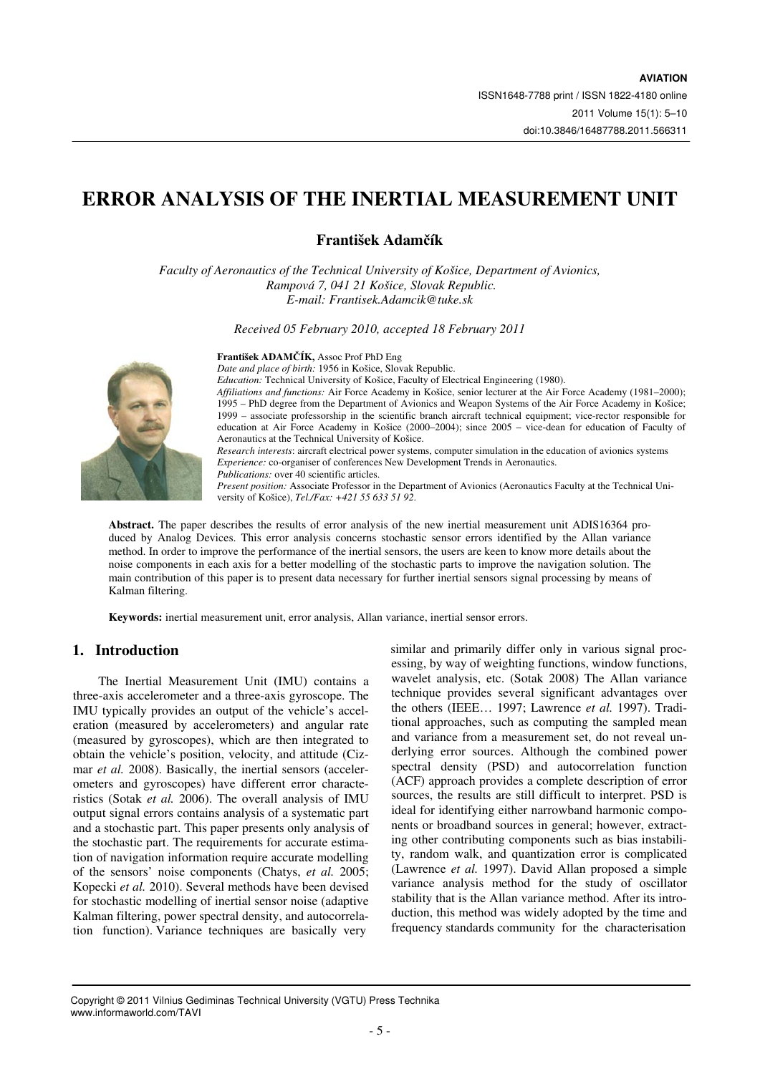# **ERROR ANALYSIS OF THE INERTIAL MEASUREMENT UNIT**

# **František Adam**č**ík**

*Faculty of Aeronautics of the Technical University of Košice, Department of Avionics, Rampová 7, 041 21 Košice, Slovak Republic. E-mail: Frantisek.Adamcik@tuke.sk* 

*Received 05 February 2010, accepted 18 February 2011* 



### **František ADAM**Č**ÍK,** Assoc Prof PhD Eng

*Date and place of birth:* 1956 in Košice, Slovak Republic. *Education:* Technical University of Košice, Faculty of Electrical Engineering (1980). *Affiliations and functions:* Air Force Academy in Košice, senior lecturer at the Air Force Academy (1981–2000); 1995 – PhD degree from the Department of Avionics and Weapon Systems of the Air Force Academy in Košice; 1999 – associate professorship in the scientific branch aircraft technical equipment; vice-rector responsible for education at Air Force Academy in Košice (2000–2004); since 2005 – vice-dean for education of Faculty of Aeronautics at the Technical University of Košice.

*Research interests*: aircraft electrical power systems, computer simulation in the education of avionics systems *Experience:* co-organiser of conferences New Development Trends in Aeronautics. *Publications:* over 40 scientific articles.

*Present position:* Associate Professor in the Department of Avionics (Aeronautics Faculty at the Technical University of Košice), *Tel./Fax: +421 55 633 51 92*.

**Abstract.** The paper describes the results of error analysis of the new inertial measurement unit ADIS16364 produced by Analog Devices. This error analysis concerns stochastic sensor errors identified by the Allan variance method. In order to improve the performance of the inertial sensors, the users are keen to know more details about the noise components in each axis for a better modelling of the stochastic parts to improve the navigation solution. The main contribution of this paper is to present data necessary for further inertial sensors signal processing by means of Kalman filtering.

**Keywords:** inertial measurement unit, error analysis, Allan variance, inertial sensor errors.

# **1. Introduction**

The Inertial Measurement Unit (IMU) contains a three-axis accelerometer and a three-axis gyroscope. The IMU typically provides an output of the vehicle's acceleration (measured by accelerometers) and angular rate (measured by gyroscopes), which are then integrated to obtain the vehicle's position, velocity, and attitude (Cizmar *et al.* 2008). Basically, the inertial sensors (accelerometers and gyroscopes) have different error characteristics (Sotak *et al.* 2006). The overall analysis of IMU output signal errors contains analysis of a systematic part and a stochastic part. This paper presents only analysis of the stochastic part. The requirements for accurate estimation of navigation information require accurate modelling of the sensors' noise components (Chatys, *et al.* 2005; Kopecki *et al.* 2010). Several methods have been devised for stochastic modelling of inertial sensor noise (adaptive Kalman filtering, power spectral density, and autocorrelation function). Variance techniques are basically very

similar and primarily differ only in various signal processing, by way of weighting functions, window functions, wavelet analysis, etc. (Sotak 2008) The Allan variance technique provides several significant advantages over the others (IEEE… 1997; Lawrence *et al.* 1997). Traditional approaches, such as computing the sampled mean and variance from a measurement set, do not reveal underlying error sources. Although the combined power spectral density (PSD) and autocorrelation function (ACF) approach provides a complete description of error sources, the results are still difficult to interpret. PSD is ideal for identifying either narrowband harmonic components or broadband sources in general; however, extracting other contributing components such as bias instability, random walk, and quantization error is complicated (Lawrence *et al.* 1997). David Allan proposed a simple variance analysis method for the study of oscillator stability that is the Allan variance method. After its introduction, this method was widely adopted by the time and frequency standards community for the characterisation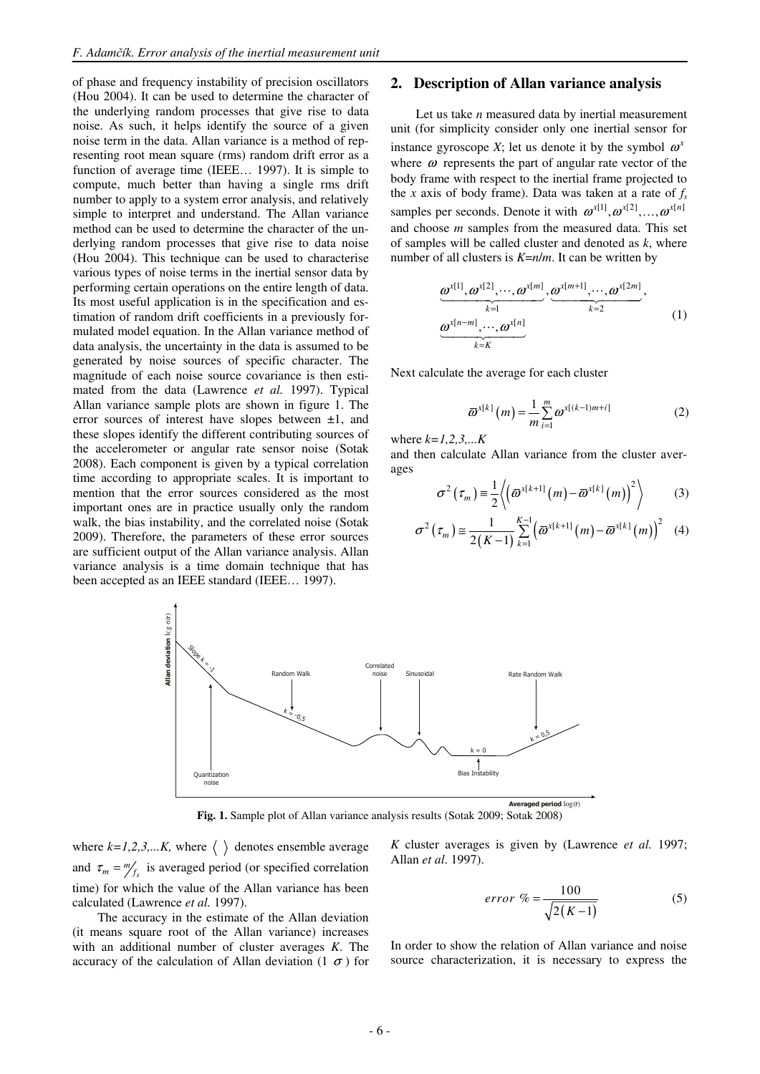of phase and frequency instability of precision oscillators (Hou 2004). It can be used to determine the character of the underlying random processes that give rise to data noise. As such, it helps identify the source of a given noise term in the data. Allan variance is a method of representing root mean square (rms) random drift error as a function of average time (IEEE… 1997). It is simple to compute, much better than having a single rms drift number to apply to a system error analysis, and relatively simple to interpret and understand. The Allan variance method can be used to determine the character of the underlying random processes that give rise to data noise (Hou 2004). This technique can be used to characterise various types of noise terms in the inertial sensor data by performing certain operations on the entire length of data. Its most useful application is in the specification and estimation of random drift coefficients in a previously formulated model equation. In the Allan variance method of data analysis, the uncertainty in the data is assumed to be generated by noise sources of specific character. The magnitude of each noise source covariance is then estimated from the data (Lawrence *et al.* 1997). Typical Allan variance sample plots are shown in figure 1. The error sources of interest have slopes between  $\pm 1$ , and these slopes identify the different contributing sources of the accelerometer or angular rate sensor noise (Sotak 2008). Each component is given by a typical correlation time according to appropriate scales. It is important to mention that the error sources considered as the most important ones are in practice usually only the random walk, the bias instability, and the correlated noise (Sotak 2009). Therefore, the parameters of these error sources are sufficient output of the Allan variance analysis. Allan variance analysis is a time domain technique that has been accepted as an IEEE standard (IEEE… 1997).

### **2. Description of Allan variance analysis**

Let us take *n* measured data by inertial measurement unit (for simplicity consider only one inertial sensor for instance gyroscope *X*; let us denote it by the symbol  $\omega^x$ where  $\omega$  represents the part of angular rate vector of the body frame with respect to the inertial frame projected to the *x* axis of body frame). Data was taken at a rate of  $f<sub>s</sub>$ samples per seconds. Denote it with  $\omega^{x[1]}, \omega^{x[2]}, \ldots, \omega^{x[n]}$ and choose *m* samples from the measured data. This set of samples will be called cluster and denoted as *k*, where number of all clusters is *K*=*n*/*m*. It can be written by

$$
\underbrace{\omega^{x[1]}, \omega^{x[2]}, \cdots, \omega^{x[m]} }_{k=1}, \underbrace{\omega^{x[m+1]}, \cdots, \omega^{x[2m]} }_{k=2},
$$
\n
$$
\underbrace{\omega^{x[n-m]}, \cdots, \omega^{x[n]}}_{k=k}
$$
\n(1)

Next calculate the average for each cluster

$$
\overline{\omega}^{x[k]}(m) = \frac{1}{m} \sum_{i=1}^{m} \omega^{x[(k-1)m+i]}
$$
 (2)

where *k=1,2,3,...K*

and then calculate Allan variance from the cluster averages

$$
\sigma^{2}\left(\tau_{m}\right) \equiv \frac{1}{2}\left\langle \left(\overline{\omega}^{x[k+1]}(m) - \overline{\omega}^{x[k]}(m)\right)^{2} \right\rangle \tag{3}
$$

$$
\sigma^{2}\left(\tau_{m}\right) \approx \frac{1}{2\left(K-1\right)}\sum_{k=1}^{K-1} \left(\overline{\omega}^{x[k+1]}\left(m\right)-\overline{\omega}^{x[k]}\left(m\right)\right)^{2} \quad (4)
$$



**Fig. 1.** Sample plot of Allan variance analysis results (Sotak 2009; Sotak 2008)

where  $k=1,2,3,...K$ , where  $\langle \rangle$  denotes ensemble average and  $\tau_m = m_f$  is averaged period (or specified correlation time) for which the value of the Allan variance has been calculated (Lawrence *et al.* 1997).

The accuracy in the estimate of the Allan deviation (it means square root of the Allan variance) increases with an additional number of cluster averages *K*. The accuracy of the calculation of Allan deviation  $(1 \sigma)$  for *K* cluster averages is given by (Lawrence *et al.* 1997; Allan *et al*. 1997).

$$
error \% = \frac{100}{\sqrt{2(K-1)}}\tag{5}
$$

In order to show the relation of Allan variance and noise source characterization, it is necessary to express the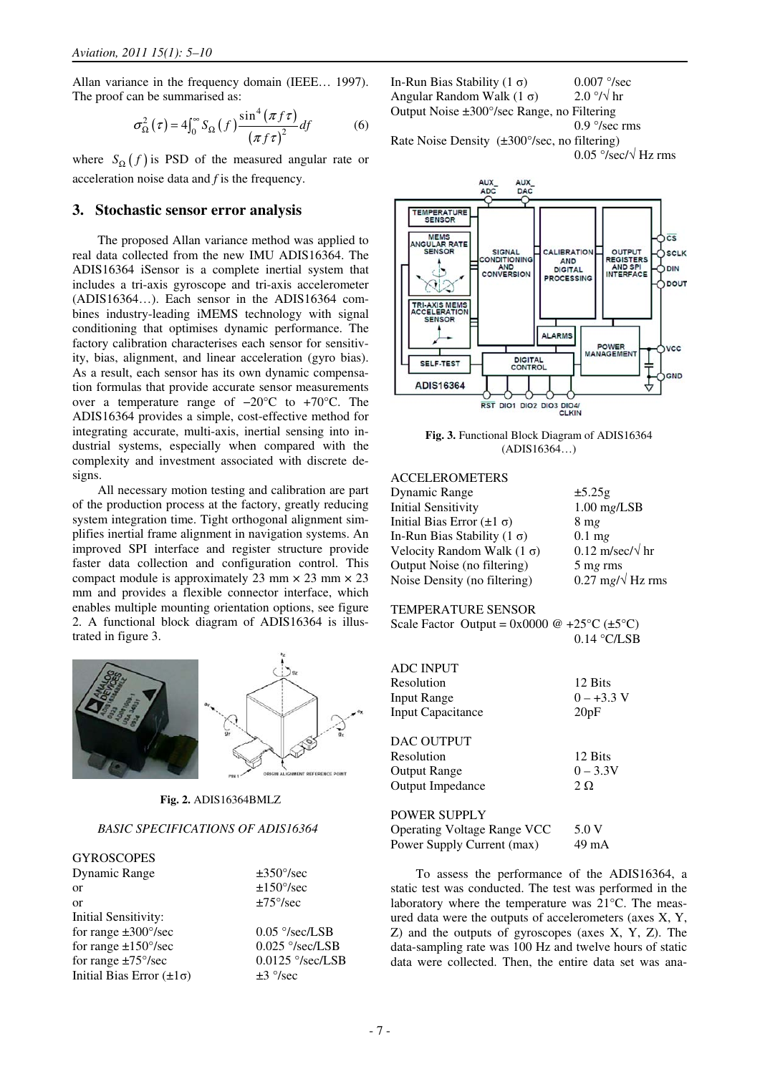Allan variance in the frequency domain (IEEE… 1997). The proof can be summarised as:

$$
\sigma_{\Omega}^{2}(\tau) = 4\int_{0}^{\infty} S_{\Omega}(f) \frac{\sin^{4}(\pi f\tau)}{(\pi f\tau)^{2}} df
$$
 (6)

where  $S_{\Omega}(f)$  is PSD of the measured angular rate or acceleration noise data and *f* is the frequency.

#### **3. Stochastic sensor error analysis**

The proposed Allan variance method was applied to real data collected from the new IMU ADIS16364. The ADIS16364 iSensor is a complete inertial system that includes a tri-axis gyroscope and tri-axis accelerometer (ADIS16364…). Each sensor in the ADIS16364 combines industry-leading iMEMS technology with signal conditioning that optimises dynamic performance. The factory calibration characterises each sensor for sensitivity, bias, alignment, and linear acceleration (gyro bias). As a result, each sensor has its own dynamic compensation formulas that provide accurate sensor measurements over a temperature range of −20°C to +70°C. The ADIS16364 provides a simple, cost-effective method for integrating accurate, multi-axis, inertial sensing into industrial systems, especially when compared with the complexity and investment associated with discrete designs.

All necessary motion testing and calibration are part of the production process at the factory, greatly reducing system integration time. Tight orthogonal alignment simplifies inertial frame alignment in navigation systems. An improved SPI interface and register structure provide faster data collection and configuration control. This compact module is approximately 23 mm  $\times$  23 mm  $\times$  23 mm and provides a flexible connector interface, which enables multiple mounting orientation options, see figure 2. A functional block diagram of ADIS16364 is illustrated in figure 3.



**Fig. 2.** ADIS16364BMLZ

### *BASIC SPECIFICATIONS OF ADIS16364*

**GYROSCOPES** Dynamic Range ±350°/sec or  $\pm 150^{\circ}/\text{sec}$ or  $\pm 75^{\circ}/\text{sec}$ Initial Sensitivity: for range  $\pm 300^{\circ}/\text{sec}$  0.05 °/sec/LSB for range  $\pm 150^{\circ}/\text{sec}$  0.025  $^{\circ}/\text{sec}/\text{LSB}$ for range  $\pm 75^{\circ}/\text{sec}$  0.0125  $\degree/\text{sec}/\text{LSB}$ Initial Bias Error  $(\pm 1\sigma)$   $\pm 3$  °/sec

In-Run Bias Stability  $(1 \sigma)$  0.007 °/sec Angular Random Walk  $(1 \sigma)$  2.0 °/ $\sqrt{h}$ r Output Noise ±300°/sec Range, no Filtering 0.9 °/sec rms Rate Noise Density (±300°/sec, no filtering)  $0.05$  °/sec/ $\sqrt{Hz}$  rms



**Fig. 3.** Functional Block Diagram of ADIS16364 (ADIS16364…)

#### ACCELEROMETERS

| Dynamic Range                       | $\pm 5.25g$                            |
|-------------------------------------|----------------------------------------|
| <b>Initial Sensitivity</b>          | $1.00$ mg/LSB                          |
| Initial Bias Error $(\pm 1 \sigma)$ | $8 \text{ mg}$                         |
| In-Run Bias Stability $(1 \sigma)$  | $0.1$ mg                               |
| Velocity Random Walk $(1 \sigma)$   | $0.12 \text{ m/sec}/\sqrt{\text{ hr}}$ |
| Output Noise (no filtering)         | 5 mg rms                               |
| Noise Density (no filtering)        | $0.27 \text{ mg}/\sqrt{\text{Hz}}$ rms |
|                                     |                                        |

#### TEMPERATURE SENSOR

| Scale Factor Output = $0x0000 \text{ @ } +25^{\circ}C \text{ (}\pm 5^{\circ}C\text{)}$ |               |  |
|----------------------------------------------------------------------------------------|---------------|--|
|                                                                                        | $0.14$ °C/LSB |  |

| <b>ADC INPUT</b>                   |              |
|------------------------------------|--------------|
| Resolution                         | 12 Bits      |
| Input Range                        | $0 - +3.3$ V |
| <b>Input Capacitance</b>           | 20pF         |
| DAC OUTPUT                         |              |
| Resolution                         | 12 Bits      |
| Output Range                       | $0 - 3.3V$   |
| Output Impedance                   | $2\Omega$    |
| <b>POWER SUPPLY</b>                |              |
| <b>Operating Voltage Range VCC</b> | 5.0 V        |

| Operating Voltage Range VCC | 5.0V  |
|-----------------------------|-------|
| Power Supply Current (max)  | 49 mA |

To assess the performance of the ADIS16364, a static test was conducted. The test was performed in the laboratory where the temperature was 21°C. The measured data were the outputs of accelerometers (axes X, Y, Z) and the outputs of gyroscopes (axes X, Y, Z). The data-sampling rate was 100 Hz and twelve hours of static data were collected. Then, the entire data set was ana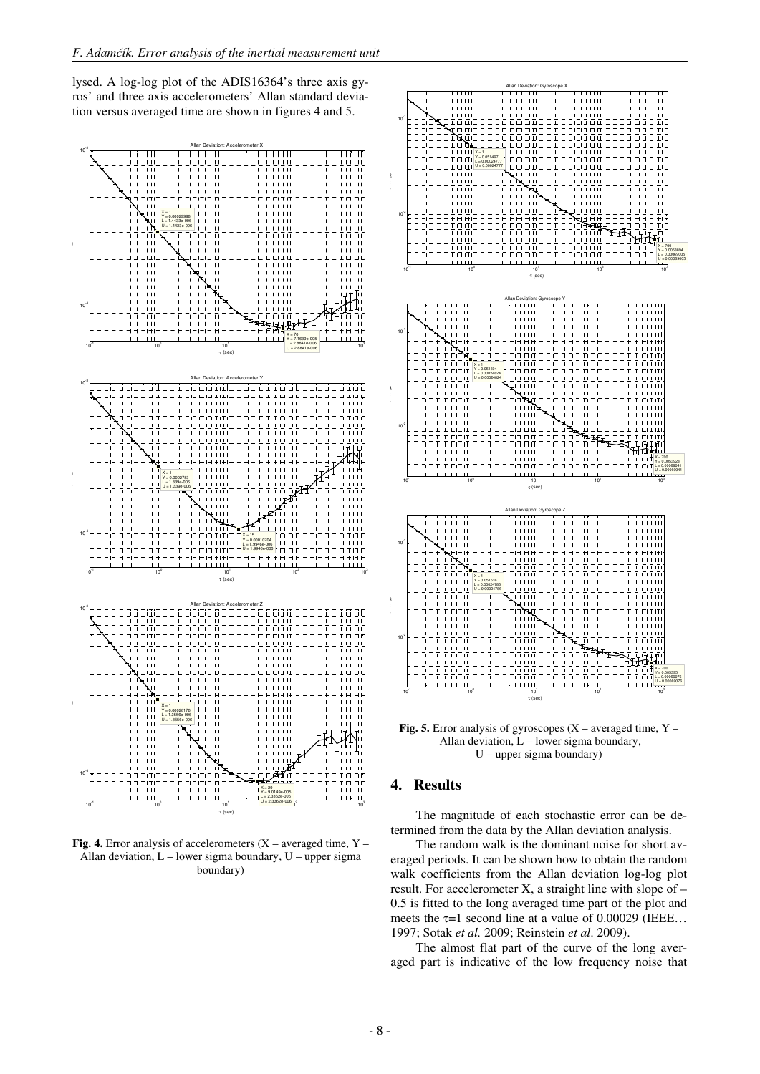lysed. A log-log plot of the ADIS16364's three axis gyros' and three axis accelerometers' Allan standard deviation versus averaged time are shown in figures 4 and 5.



**Fig. 4.** Error analysis of accelerometers (X – averaged time, Y – Allan deviation, L – lower sigma boundary, U – upper sigma boundary)



**Fig. 5.** Error analysis of gyroscopes (X – averaged time, Y – Allan deviation,  $L$  – lower sigma boundary, U – upper sigma boundary)

### **4. Results**

The magnitude of each stochastic error can be determined from the data by the Allan deviation analysis.

The random walk is the dominant noise for short averaged periods. It can be shown how to obtain the random walk coefficients from the Allan deviation log-log plot result. For accelerometer X, a straight line with slope of – 0.5 is fitted to the long averaged time part of the plot and meets the  $\tau$ =1 second line at a value of 0.00029 (IEEE... 1997; Sotak *et al.* 2009; Reinstein *et al*. 2009).

The almost flat part of the curve of the long averaged part is indicative of the low frequency noise that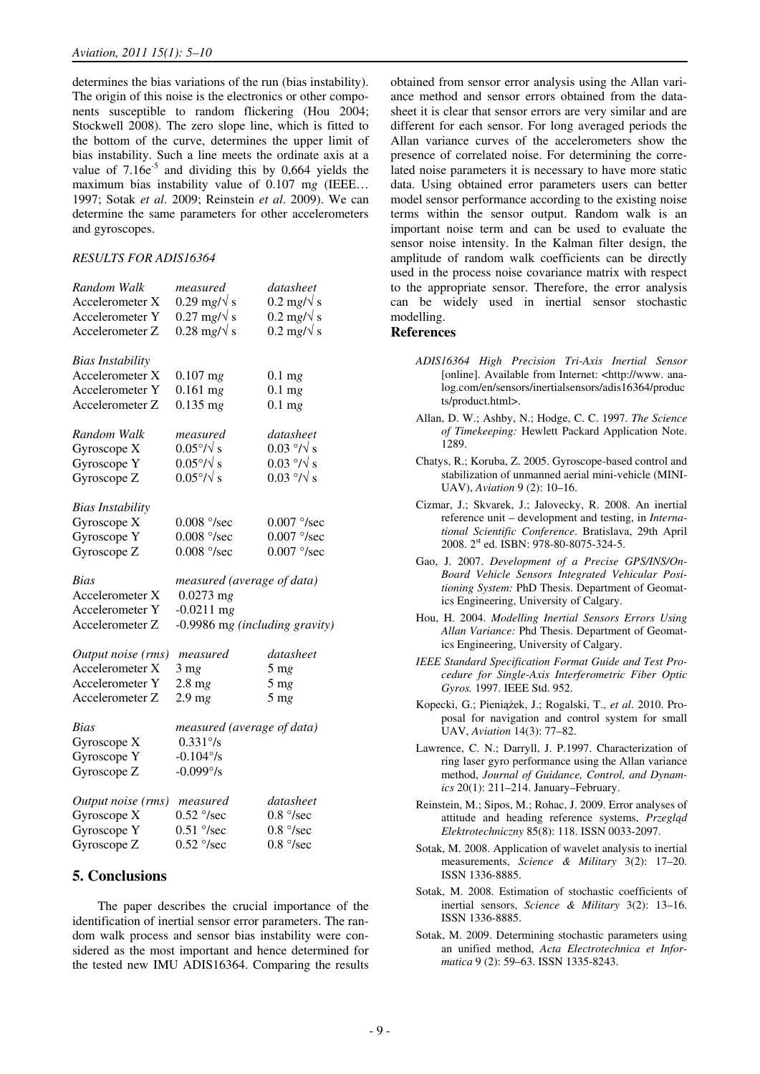determines the bias variations of the run (bias instability). The origin of this noise is the electronics or other components susceptible to random flickering (Hou 2004; Stockwell 2008). The zero slope line, which is fitted to the bottom of the curve, determines the upper limit of bias instability. Such a line meets the ordinate axis at a value of  $7.16e^{-5}$  and dividing this by 0,664 yields the maximum bias instability value of 0.107 m*g* (IEEE… 1997; Sotak *et al*. 2009; Reinstein *et al*. 2009). We can determine the same parameters for other accelerometers and gyroscopes.

#### *RESULTS FOR ADIS16364*

| Random Walk             | measured                       | datasheet                     |
|-------------------------|--------------------------------|-------------------------------|
| Accelerometer X         | $0.29$ mg/ $\sqrt{s}$          | $0.2 \text{ mg/v}$ s          |
| Accelerometer Y         | $0.27 \text{ mg/s}$            | $0.2 \text{ mg/s}$            |
| Accelerometer Z         | $0.28$ mg/ $\sqrt{s}$          | $0.2 \text{ mg/s}$            |
| <b>Bias Instability</b> |                                |                               |
| Accelerometer X         | $0.107$ mg                     | $0.1$ mg                      |
| Accelerometer Y         | $0.161$ mg                     | $0.1$ mg                      |
| Accelerometer Z         | $0.135$ mg                     | $0.1$ mg                      |
| Random Walk             | measured                       | datasheet                     |
| Gyroscope X             | $0.05\%$ s                     | $0.03 \frac{\circ}{\sqrt{s}}$ |
| Gyroscope Y             | $0.05\%$ s                     | $0.03 \frac{\circ}{\sqrt{s}}$ |
| Gyroscope Z             | $0.05\%$ / $\sqrt{s}$          | $0.03 \frac{\circ}{\sqrt{s}}$ |
| <b>Bias Instability</b> |                                |                               |
| Gyroscope X             | $0.008$ $\degree$ /sec         | $0.007$ $\degree$ /sec        |
| Gyroscope Y             | $0.008$ °/sec                  | $0.007$ $\degree$ /sec        |
| Gyroscope Z             | $0.008$ $\degree$ /sec         | $0.007$ $\degree$ /sec        |
| <b>Bias</b>             | measured (average of data)     |                               |
| Accelerometer X         | $0.0273$ mg                    |                               |
| Accelerometer Y         | $-0.0211$ mg                   |                               |
| Accelerometer Z         | -0.9986 mg (including gravity) |                               |
| Output noise (rms)      | measured                       | datasheet                     |
| Accelerometer X         | $3 \text{ mg}$                 | $5 \text{ mg}$                |
| Accelerometer Y         | $2.8 \text{ mg}$               | 5 <sub>mg</sub>               |
| Accelerometer Z         | 2.9 <sub>mg</sub>              | 5 <sub>mg</sub>               |
| Bias                    | measured (average of data)     |                               |
| Gyroscope X             | $0.331\degree$ /s              |                               |
| Gyroscope Y             | $-0.104^{\circ}/s$             |                               |
| Gyroscope Z             | $-0.099^{\circ}/s$             |                               |
| Output noise (rms)      | measured                       | datasheet                     |
| Gyroscope X             | $0.52 \degree$ /sec            | $0.8\degree$ /sec             |
| Gyroscope Y             | $0.51$ $\degree$ /sec          | $0.8\degree$ /sec             |
| Gyroscope Z             | $0.52 \degree$ /sec            | $0.8\degree$ /sec             |

## **5. Conclusions**

The paper describes the crucial importance of the identification of inertial sensor error parameters. The random walk process and sensor bias instability were considered as the most important and hence determined for the tested new IMU ADIS16364. Comparing the results

obtained from sensor error analysis using the Allan variance method and sensor errors obtained from the datasheet it is clear that sensor errors are very similar and are different for each sensor. For long averaged periods the Allan variance curves of the accelerometers show the presence of correlated noise. For determining the correlated noise parameters it is necessary to have more static data. Using obtained error parameters users can better model sensor performance according to the existing noise terms within the sensor output. Random walk is an important noise term and can be used to evaluate the sensor noise intensity. In the Kalman filter design, the amplitude of random walk coefficients can be directly used in the process noise covariance matrix with respect to the appropriate sensor. Therefore, the error analysis can be widely used in inertial sensor stochastic modelling.

#### **References**

- *ADIS16364 High Precision Tri-Axis Inertial Sensor* [online]. Available from Internet: <http://www. analog.com/en/sensors/inertialsensors/adis16364/produc ts/product.html>.
- Allan, D. W.; Ashby, N.; Hodge, C. C. 1997. *The Science of Timekeeping:* Hewlett Packard Application Note. 1289.
- Chatys, R.; Koruba, Z. 2005. Gyroscope-based control and stabilization of unmanned aerial mini-vehicle (MINI-UAV), *Aviation* 9 (2): 10–16.
- Cizmar, J.; Skvarek, J.; Jalovecky, R. 2008. An inertial reference unit – development and testing, in *International Scientific Conference*. Bratislava, 29th April 2008. 2<sup>st</sup> ed. ISBN: 978-80-8075-324-5.
- Gao, J. 2007. *Development of a Precise GPS/INS/On-Board Vehicle Sensors Integrated Vehicular Positioning System:* PhD Thesis. Department of Geomatics Engineering, University of Calgary.
- Hou, H. 2004. *Modelling Inertial Sensors Errors Using Allan Variance:* Phd Thesis. Department of Geomatics Engineering, University of Calgary.
- *IEEE Standard Specification Format Guide and Test Procedure for Single-Axis Interferometric Fiber Optic Gyros.* 1997. IEEE Std. 952.
- Kopecki, G.; Pieniążek, J.; Rogalski, T., *et al*. 2010. Proposal for navigation and control system for small UAV, *Aviation* 14(3): 77–82.
- Lawrence, C. N.; Darryll, J. P.1997. Characterization of ring laser gyro performance using the Allan variance method, *Journal of Guidance, Control, and Dynamics* 20(1): 211–214. January–February.
- Reinstein, M.; Sipos, M.; Rohac, J. 2009. Error analyses of attitude and heading reference systems, *Przegl*ą*d Elektrotechniczny* 85(8): 118. ISSN 0033-2097.
- Sotak, M. 2008. Application of wavelet analysis to inertial measurements, *Science & Military* 3(2): 17–20. ISSN 1336-8885.
- Sotak, M. 2008. Estimation of stochastic coefficients of inertial sensors, *Science & Military* 3(2): 13–16. ISSN 1336-8885.
- Sotak, M. 2009. Determining stochastic parameters using an unified method, *Acta Electrotechnica et Informatica* 9 (2): 59–63. ISSN 1335-8243.